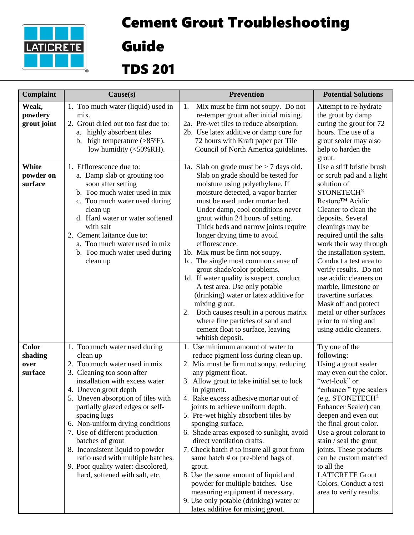

## Cement Grout Troubleshooting

Guide

## TDS 201

| Complaint                                  | Cause(s)                                                                                                                                                                                                                                                                                                                                                                                                                                                                                                | <b>Prevention</b>                                                                                                                                                                                                                                                                                                                                                                                                                                                                                                                                                                                                                                                                                                                                         | <b>Potential Solutions</b>                                                                                                                                                                                                                                                                                                                                                                                                                                                                        |
|--------------------------------------------|---------------------------------------------------------------------------------------------------------------------------------------------------------------------------------------------------------------------------------------------------------------------------------------------------------------------------------------------------------------------------------------------------------------------------------------------------------------------------------------------------------|-----------------------------------------------------------------------------------------------------------------------------------------------------------------------------------------------------------------------------------------------------------------------------------------------------------------------------------------------------------------------------------------------------------------------------------------------------------------------------------------------------------------------------------------------------------------------------------------------------------------------------------------------------------------------------------------------------------------------------------------------------------|---------------------------------------------------------------------------------------------------------------------------------------------------------------------------------------------------------------------------------------------------------------------------------------------------------------------------------------------------------------------------------------------------------------------------------------------------------------------------------------------------|
| Weak,<br>powdery<br>grout joint            | 1. Too much water (liquid) used in<br>mix.<br>2. Grout dried out too fast due to:<br>highly absorbent tiles<br>а.<br>high temperature $(>\!\!85^{\circ}\mathrm{F}),$<br>$\mathbf{b}$ .<br>low humidity $(<50\%RH$ ).                                                                                                                                                                                                                                                                                    | Mix must be firm not soupy. Do not<br>1.<br>re-temper grout after initial mixing.<br>2a. Pre-wet tiles to reduce absorption.<br>2b. Use latex additive or damp cure for<br>72 hours with Kraft paper per Tile<br>Council of North America guidelines.                                                                                                                                                                                                                                                                                                                                                                                                                                                                                                     | Attempt to re-hydrate<br>the grout by damp<br>curing the grout for 72<br>hours. The use of a<br>grout sealer may also<br>help to harden the<br>grout.                                                                                                                                                                                                                                                                                                                                             |
| White<br>powder on<br>surface              | 1. Efflorescence due to:<br>a. Damp slab or grouting too<br>soon after setting<br>b. Too much water used in mix<br>c. Too much water used during<br>clean up<br>d. Hard water or water softened<br>with salt<br>2. Cement laitance due to:<br>a. Too much water used in mix<br>b. Too much water used during<br>clean up                                                                                                                                                                                | 1a. Slab on grade must be $>$ 7 days old.<br>Slab on grade should be tested for<br>moisture using polyethylene. If<br>moisture detected, a vapor barrier<br>must be used under mortar bed.<br>Under damp, cool conditions never<br>grout within 24 hours of setting.<br>Thick beds and narrow joints require<br>longer drying time to avoid<br>efflorescence.<br>1b. Mix must be firm not soupy.<br>1c. The single most common cause of<br>grout shade/color problems.<br>1d. If water quality is suspect, conduct<br>A test area. Use only potable<br>(drinking) water or latex additive for<br>mixing grout.<br>Both causes result in a porous matrix<br>2.<br>where fine particles of sand and<br>cement float to surface, leaving<br>whitish deposit. | Use a stiff bristle brush<br>or scrub pad and a light<br>solution of<br><b>STONETECH®</b><br>Restore™ Acidic<br>Cleaner to clean the<br>deposits. Several<br>cleanings may be<br>required until the salts<br>work their way through<br>the installation system.<br>Conduct a test area to<br>verify results. Do not<br>use acidic cleaners on<br>marble, limestone or<br>travertine surfaces.<br>Mask off and protect<br>metal or other surfaces<br>prior to mixing and<br>using acidic cleaners. |
| <b>Color</b><br>shading<br>over<br>surface | 1. Too much water used during<br>clean up<br>2. Too much water used in mix<br>3. Cleaning too soon after<br>installation with excess water<br>4. Uneven grout depth<br>5. Uneven absorption of tiles with<br>partially glazed edges or self-<br>spacing lugs<br>6. Non-uniform drying conditions<br>7. Use of different production<br>batches of grout<br>8. Inconsistent liquid to powder<br>ratio used with multiple batches.<br>9. Poor quality water: discolored,<br>hard, softened with salt, etc. | 1. Use minimum amount of water to<br>reduce pigment loss during clean up.<br>2. Mix must be firm not soupy, reducing<br>any pigment float.<br>3. Allow grout to take initial set to lock<br>in pigment.<br>4. Rake excess adhesive mortar out of<br>joints to achieve uniform depth.<br>5. Pre-wet highly absorbent tiles by<br>sponging surface.<br>6. Shade areas exposed to sunlight, avoid<br>direct ventilation drafts.<br>7. Check batch # to insure all grout from<br>same batch # or pre-blend bags of<br>grout.<br>8. Use the same amount of liquid and<br>powder for multiple batches. Use<br>measuring equipment if necessary.<br>9. Use only potable (drinking) water or<br>latex additive for mixing grout.                                  | Try one of the<br>following:<br>Using a grout sealer<br>may even out the color.<br>"wet-look" or<br>"enhancer" type sealers<br>(e.g. STONETECH®<br>Enhancer Sealer) can<br>deepen and even out<br>the final grout color.<br>Use a grout colorant to<br>stain / seal the grout<br>joints. These products<br>can be custom matched<br>to all the<br><b>LATICRETE Grout</b><br>Colors. Conduct a test<br>area to verify results.                                                                     |